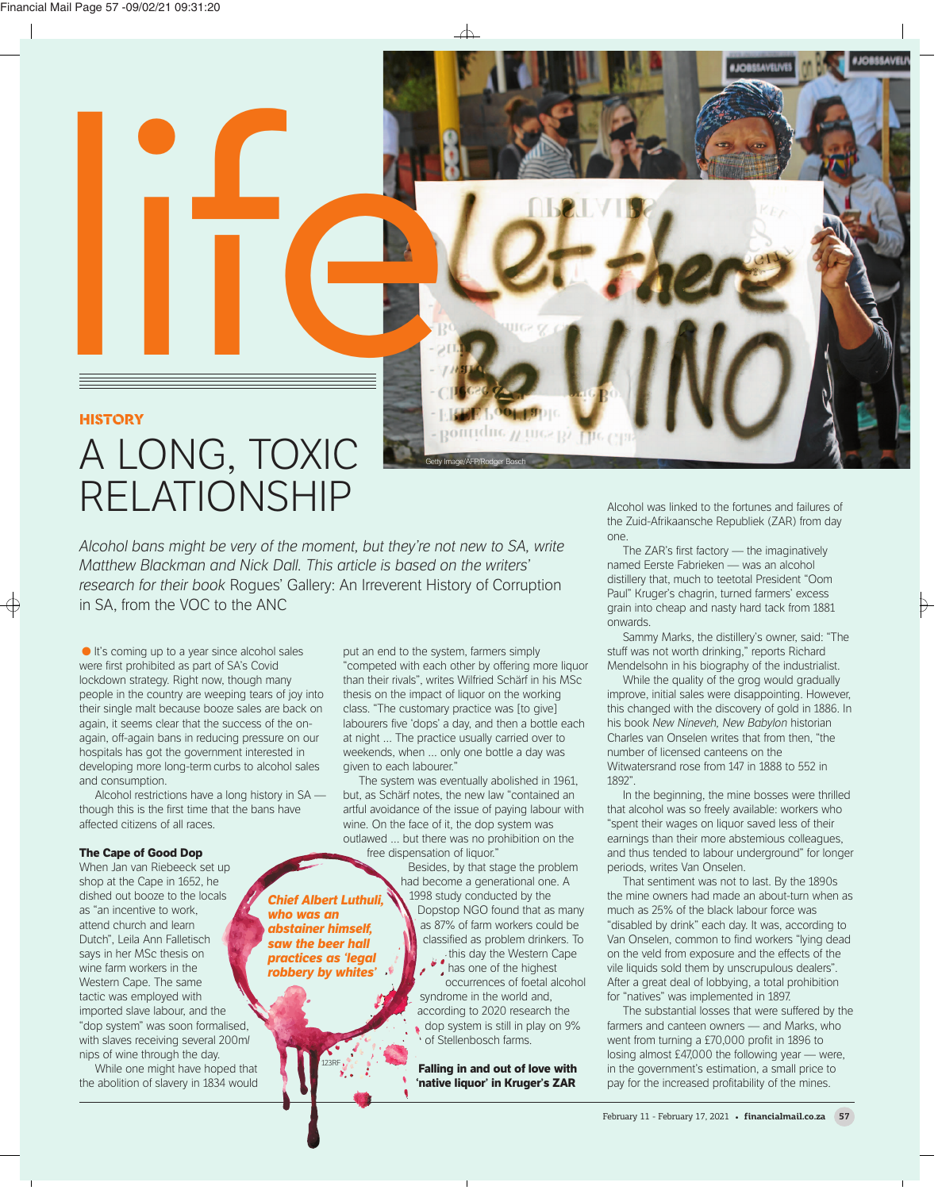# **HISTORY**

# A LONG, TOXIC **RELATIONSHIP**

*Alcohol bans might be very of the moment, but they're not new to SA, write Matthew Blackman and Nick Dall. This article is based on the writers' research for their book Roques' Gallery: An Irreverent History of Corruption* in SA, from the VOC to the ANC

> who was an **abstainer himself.** *aaw the beer hall* **practices as 'legal** *probables in the value of the street as*  $\boldsymbol{p}$ *robbery by whites'*

**Chief Albert Luthuli** 

123RF

 $\bullet$  It's coming up to a year since alcohol sales were first prohibited as part of SA's Covid lockdown strategy. Right now, though many people in the country are weeping tears of joy into their single malt because booze sales are back on again, it seems clear that the success of the onagain, off-again bans in reducing pressure on our hospitals has got the government interested in developing more long-term curbs to alcohol sales and consumption.

Alcohol restrictions have a long history in SA though this is the first time that the bans have affected citizens of all races.

## **The Cape of Good Dop**

When Jan van Riebeeck set up shop at the Cape in 1652, he dished out booze to the locals as "an incentive to work attend church and learn Dutch", Leila Ann Falletisch says in her MSc thesis on wine farm workers in the Western Cape. The same tactic was employed with imported slave labour, and the "dop system" was soon formalised, with slaves receiving several 200m*l* nips of wine through the day.

While one might have hoped that the abolition of slavery in 1834 would

put an end to the system, farmers simply "competed with each other by offering more liquor than their rivals", writes Wilfried Schärf in his MSc thesis on the impact of liquor on the working class. "The customary practice was [to give] labourers five 'dops' a day, and then a bottle each at night … The practice usually carried over to weekends, when … only one bottle a day was given to each labourer."

The system was eventually abolished in 1961, but, as Schärf notes, the new law "contained an artful avoidance of the issue of paying labour with wine. On the face of it, the dop system was outlawed … but there was no prohibition on the free dispensation of liquor."

Besides, by that stage the problem had become a generational one. A 1998 study conducted by the Dopstop NGO found that as many

as 87% of farm workers could be classified as problem drinkers. To this day the Western Cape has one of the highest

occurrences of foetal alcohol syndrome in the world and, according to 2020 research the dop system is still in play on 9% of Stellenbosch farms.

**Falling in and out of love with 'native liquor' in Kruger's ZAR**

Alcohol was linked to the fortunes and failures of the Zuid-Afrikaansche Republiek (ZAR) from day one.

The ZAR's first factory — the imaginatively named Eerste Fabrieken — was an alcohol distillery that, much to teetotal President "Oom Paul" Kruger's chagrin, turned farmers' excess grain into cheap and nasty hard tack from 1881 onwards.

Sammy Marks, the distillery's owner, said: "The stuff was not worth drinking," reports Richard Mendelsohn in his biography of the industrialist.

While the quality of the grog would gradually improve, initial sales were disappointing. However, this changed with the discovery of gold in 1886. In his book New Nineveh, New Babylon historian Charles van Onselen writes that from then, "the number of licensed canteens on the Witwatersrand rose from 147 in 1888 to 552 in 1892"

In the beginning, the mine bosses were thrilled that alcohol was so freely available: workers who "spent their wages on liquor saved less of their earnings than their more abstemious colleagues, and thus tended to labour underground" for longer periods, writes Van Onselen.

That sentiment was not to last. By the 1890s the mine owners had made an about-turn when as much as 25% of the black labour force was "disabled by drink" each day. It was, according to Van Onselen, common to find workers "lying dead on the veld from exposure and the effects of the vile liquids sold them by unscrupulous dealers". After a great deal of lobbying, a total prohibition for "natives" was implemented in 1897.

The substantial losses that were suffered by the farmers and canteen owners — and Marks, who went from turning a £70,000 profit in 1896 to losing almost  $£47,000$  the following year — were, in the government's estimation, a small price to pay for the increased profitability of the mines.



 $\forall$